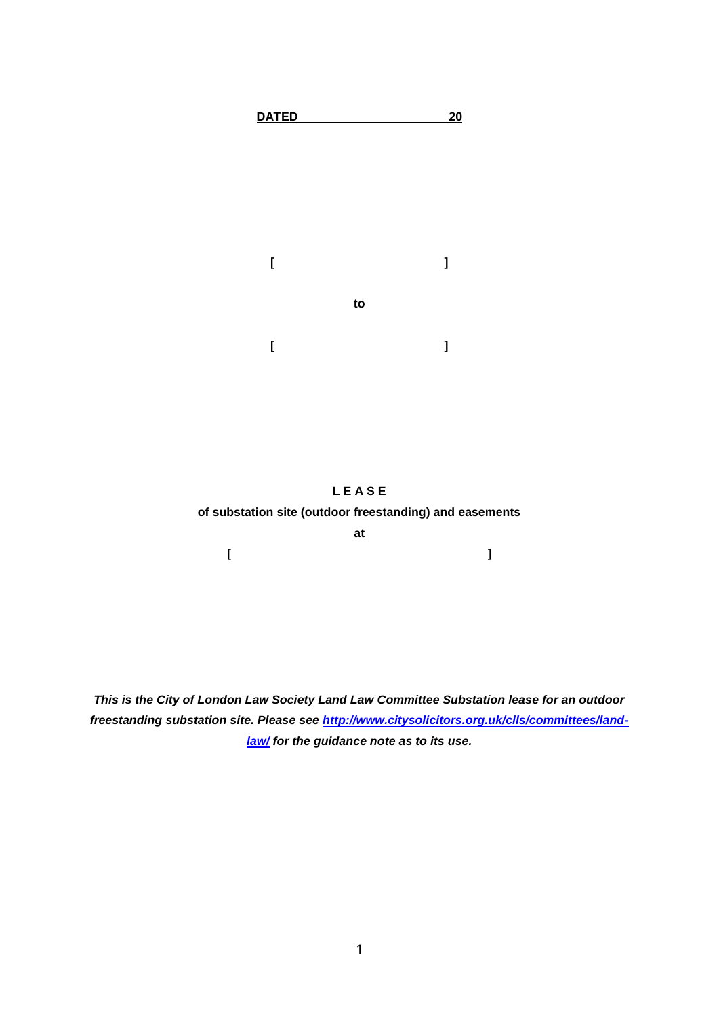



**[ ]**

*This is the City of London Law Society Land Law Committee Substation lease for an outdoor freestanding substation site. Please see [http://www.citysolicitors.org.uk/clls/committees/land](http://www.citysolicitors.org.uk/clls/committees/land-law/)[law/](http://www.citysolicitors.org.uk/clls/committees/land-law/) for the guidance note as to its use.*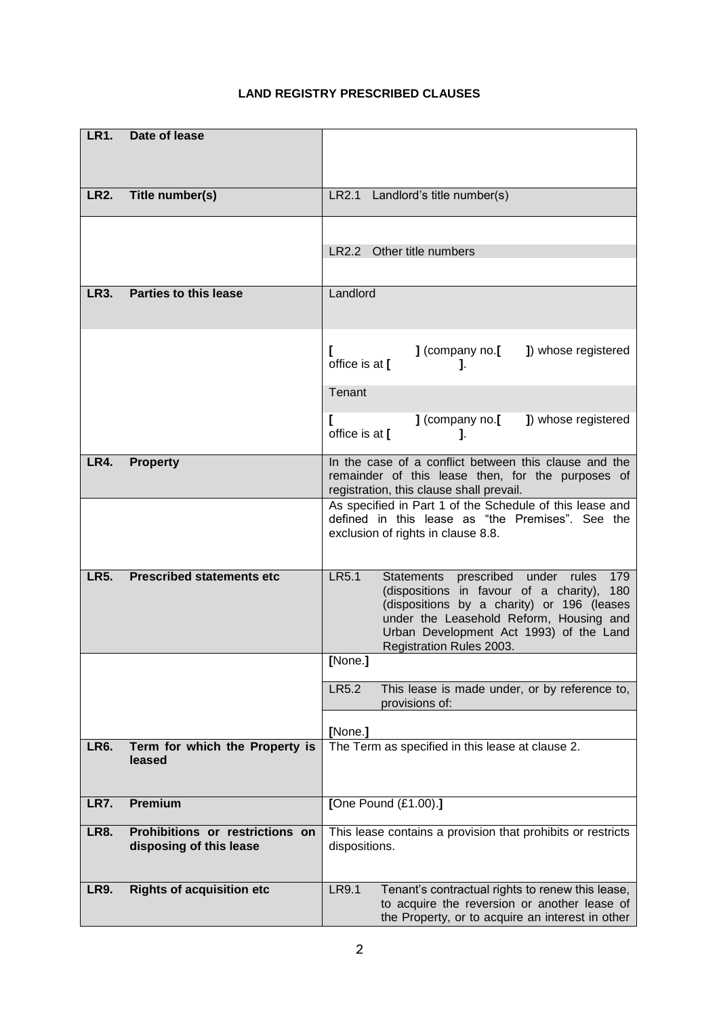# **LR1. Date of lease LR2. Title number(s)** LR2.1 Landlord's title number(s) LR2.2 Other title numbers **LR3.** Parties to this lease Landlord **[ ]** (company no.**[ ]**) whose registered office is at **[ ]**. **Tenant [ ]** (company no.**[ ]**) whose registered office is at **[ ]**. **LR4. Property In the case of a conflict between this clause and the** remainder of this lease then, for the purposes of registration, this clause shall prevail. As specified in Part 1 of the Schedule of this lease and defined in this lease as "the Premises". See the exclusion of rights in clause 8.8. **LR5. Prescribed statements etc** LR5.1 Statements prescribed under rules 179 (dispositions in favour of a charity), 180 (dispositions by a charity) or 196 (leases under the Leasehold Reform, Housing and Urban Development Act 1993) of the Land Registration Rules 2003. **[**None.**]** LR5.2 This lease is made under, or by reference to, provisions of: **[**None.**] LR6. Term for which the Property is leased** The Term as specified in this lease at clause 2. **LR7. Premium [**One Pound (£1.00).**] LR8. Prohibitions or restrictions on disposing of this lease** This lease contains a provision that prohibits or restricts dispositions. **LR9. Rights of acquisition etc LR9.1** Tenant's contractual rights to renew this lease, to acquire the reversion or another lease of the Property, or to acquire an interest in other

# **LAND REGISTRY PRESCRIBED CLAUSES**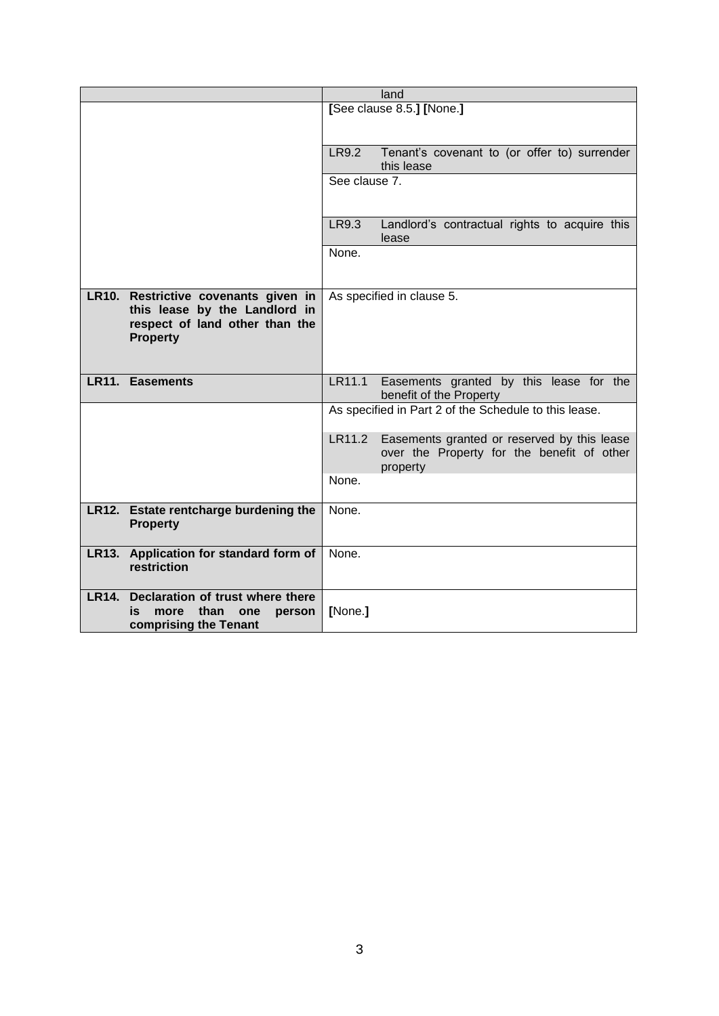|              |                                                                                                                            | land                      |                                                                                                       |
|--------------|----------------------------------------------------------------------------------------------------------------------------|---------------------------|-------------------------------------------------------------------------------------------------------|
|              |                                                                                                                            | [See clause 8.5.] [None.] |                                                                                                       |
|              |                                                                                                                            |                           |                                                                                                       |
|              |                                                                                                                            | LR9.2                     | Tenant's covenant to (or offer to) surrender<br>this lease                                            |
|              |                                                                                                                            | See clause 7.             |                                                                                                       |
|              |                                                                                                                            |                           |                                                                                                       |
|              |                                                                                                                            | LR9.3                     | Landlord's contractual rights to acquire this<br>lease                                                |
|              |                                                                                                                            | None.                     |                                                                                                       |
|              | LR10. Restrictive covenants given in<br>this lease by the Landlord in<br>respect of land other than the<br><b>Property</b> | As specified in clause 5. |                                                                                                       |
|              | <b>LR11. Easements</b>                                                                                                     | LR11.1                    | Easements granted by this lease for the<br>benefit of the Property                                    |
|              |                                                                                                                            |                           | As specified in Part 2 of the Schedule to this lease.                                                 |
|              |                                                                                                                            | LR11.2                    | Easements granted or reserved by this lease<br>over the Property for the benefit of other<br>property |
|              |                                                                                                                            | None.                     |                                                                                                       |
|              | LR12. Estate rentcharge burdening the<br><b>Property</b>                                                                   | None.                     |                                                                                                       |
|              | LR13. Application for standard form of<br>restriction                                                                      | None.                     |                                                                                                       |
| <b>LR14.</b> | Declaration of trust where there<br>than<br>is<br>more<br>one<br>person<br>comprising the Tenant                           | [None.]                   |                                                                                                       |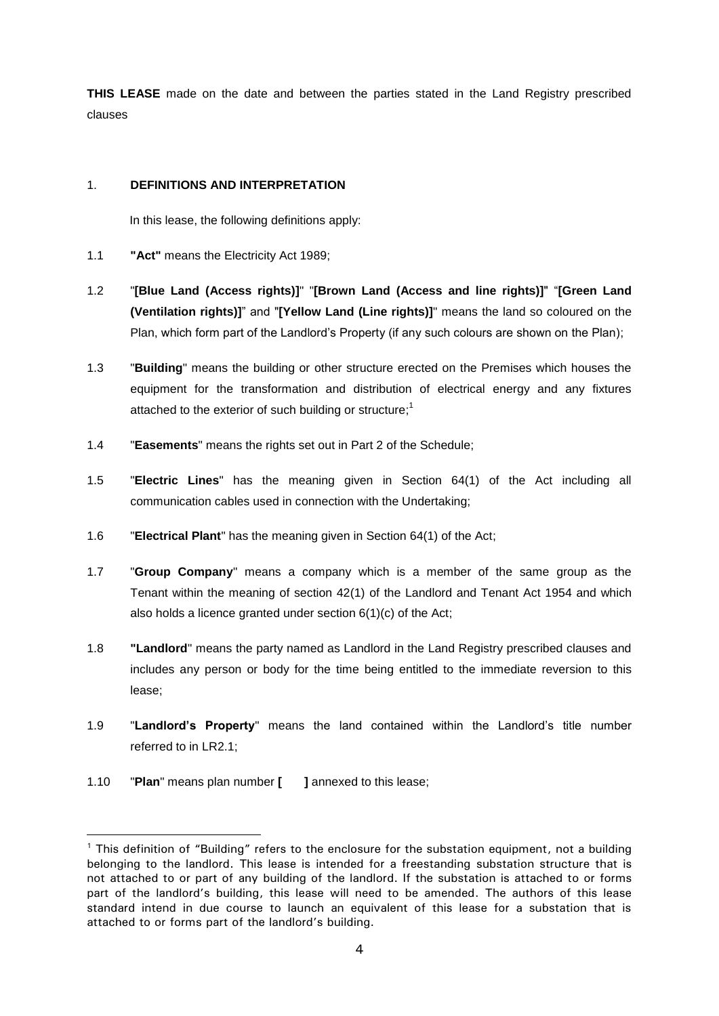**THIS LEASE** made on the date and between the parties stated in the Land Registry prescribed clauses

## 1. **DEFINITIONS AND INTERPRETATION**

In this lease, the following definitions apply:

- 1.1 **"Act"** means the Electricity Act 1989;
- 1.2 "**[Blue Land (Access rights)]**" "**[Brown Land (Access and line rights)]**" "**[Green Land (Ventilation rights)]**" and "**[Yellow Land (Line rights)]**" means the land so coloured on the Plan, which form part of the Landlord's Property (if any such colours are shown on the Plan);
- 1.3 "**Building**" means the building or other structure erected on the Premises which houses the equipment for the transformation and distribution of electrical energy and any fixtures attached to the exterior of such building or structure;<sup>1</sup>
- 1.4 "**Easements**" means the rights set out in Part 2 of the Schedule;
- 1.5 "**Electric Lines**" has the meaning given in Section 64(1) of the Act including all communication cables used in connection with the Undertaking;
- 1.6 "**Electrical Plant**" has the meaning given in Section 64(1) of the Act;
- 1.7 "**Group Company**" means a company which is a member of the same group as the Tenant within the meaning of section 42(1) of the Landlord and Tenant Act 1954 and which also holds a licence granted under section 6(1)(c) of the Act;
- 1.8 **"Landlord**" means the party named as Landlord in the Land Registry prescribed clauses and includes any person or body for the time being entitled to the immediate reversion to this lease;
- 1.9 "**Landlord's Property**" means the land contained within the Landlord's title number referred to in LR2.1;
- 1.10 "**Plan**" means plan number **[ ]** annexed to this lease;

<sup>&</sup>lt;sup>1</sup> This definition of "Building" refers to the enclosure for the substation equipment, not a building belonging to the landlord. This lease is intended for a freestanding substation structure that is not attached to or part of any building of the landlord. If the substation is attached to or forms part of the landlord's building, this lease will need to be amended. The authors of this lease standard intend in due course to launch an equivalent of this lease for a substation that is attached to or forms part of the landlord's building.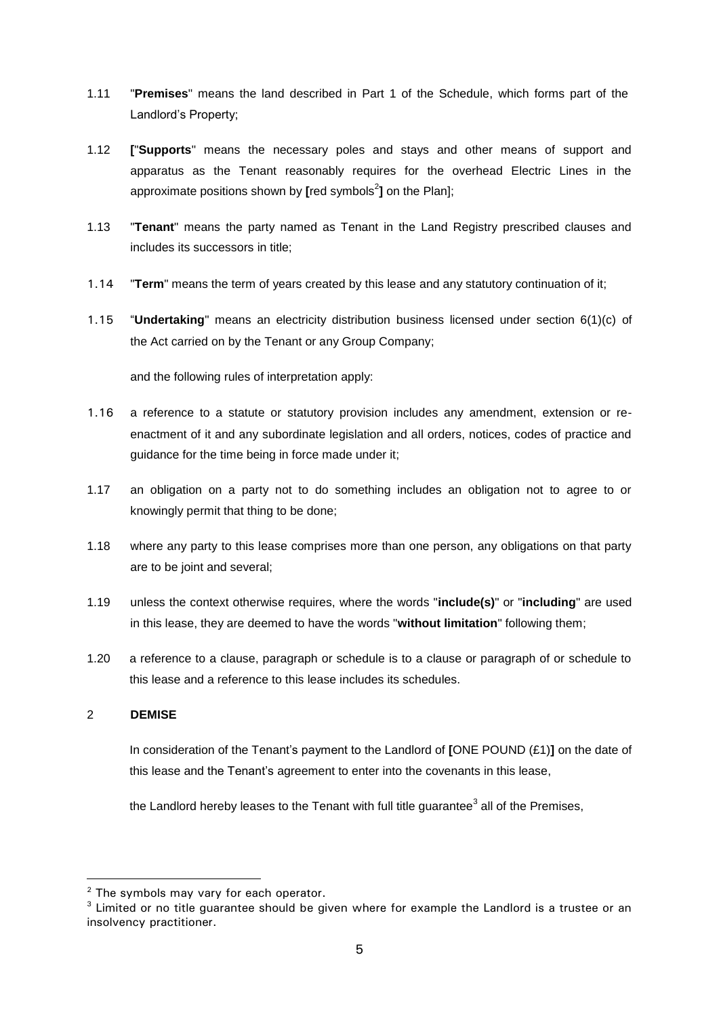- 1.11 "**Premises**" means the land described in Part 1 of the Schedule, which forms part of the Landlord's Property;
- 1.12 **[**"**Supports**" means the necessary poles and stays and other means of support and apparatus as the Tenant reasonably requires for the overhead Electric Lines in the approximate positions shown by [red symbols<sup>2</sup>] on the Plan];
- 1.13 "**Tenant**" means the party named as Tenant in the Land Registry prescribed clauses and includes its successors in title;
- 1.14 "**Term**" means the term of years created by this lease and any statutory continuation of it;
- 1.15 "**Undertaking**" means an electricity distribution business licensed under section 6(1)(c) of the Act carried on by the Tenant or any Group Company;

and the following rules of interpretation apply:

- 1.16 a reference to a statute or statutory provision includes any amendment, extension or reenactment of it and any subordinate legislation and all orders, notices, codes of practice and guidance for the time being in force made under it;
- 1.17 an obligation on a party not to do something includes an obligation not to agree to or knowingly permit that thing to be done;
- 1.18 where any party to this lease comprises more than one person, any obligations on that party are to be joint and several;
- 1.19 unless the context otherwise requires, where the words "**include(s)**" or "**including**" are used in this lease, they are deemed to have the words "**without limitation**" following them;
- 1.20 a reference to a clause, paragraph or schedule is to a clause or paragraph of or schedule to this lease and a reference to this lease includes its schedules.

#### 2 **DEMISE**

 $\overline{a}$ 

In consideration of the Tenant's payment to the Landlord of **[**ONE POUND (£1)**]** on the date of this lease and the Tenant's agreement to enter into the covenants in this lease,

the Landlord hereby leases to the Tenant with full title guarantee<sup>3</sup> all of the Premises,

 $2$  The symbols may vary for each operator.

<sup>&</sup>lt;sup>3</sup> Limited or no title quarantee should be given where for example the Landlord is a trustee or an insolvency practitioner.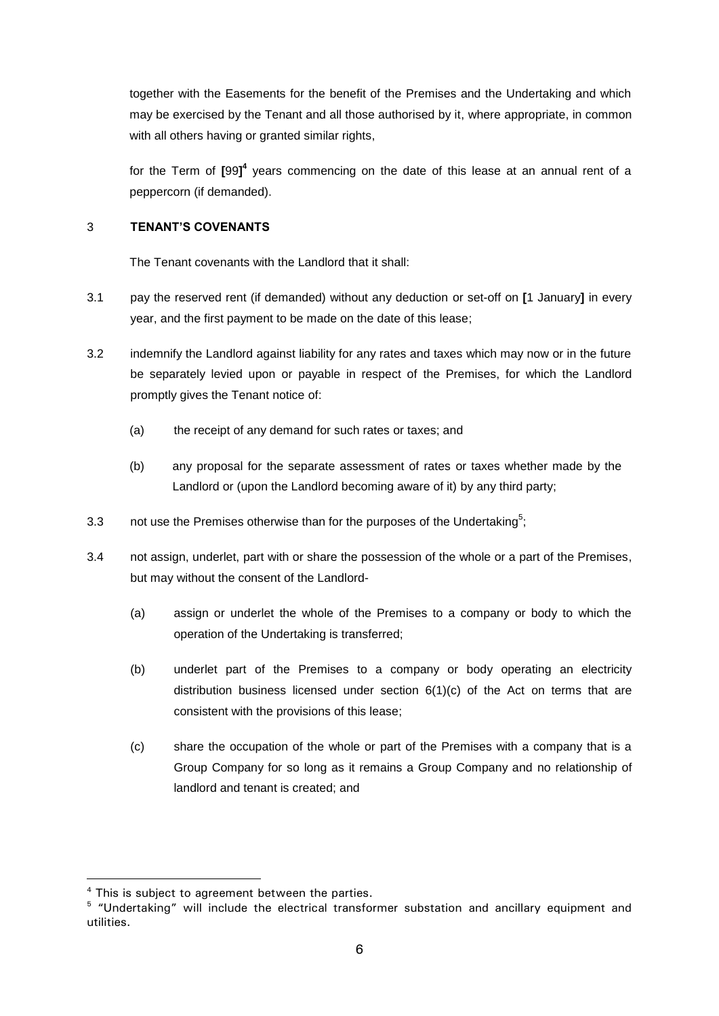together with the Easements for the benefit of the Premises and the Undertaking and which may be exercised by the Tenant and all those authorised by it, where appropriate, in common with all others having or granted similar rights,

for the Term of [99]<sup>4</sup> years commencing on the date of this lease at an annual rent of a peppercorn (if demanded).

# 3 **TENANT'S COVENANTS**

The Tenant covenants with the Landlord that it shall:

- 3.1 pay the reserved rent (if demanded) without any deduction or set-off on **[**1 January**]** in every year, and the first payment to be made on the date of this lease;
- 3.2 indemnify the Landlord against liability for any rates and taxes which may now or in the future be separately levied upon or payable in respect of the Premises, for which the Landlord promptly gives the Tenant notice of:
	- (a) the receipt of any demand for such rates or taxes; and
	- (b) any proposal for the separate assessment of rates or taxes whether made by the Landlord or (upon the Landlord becoming aware of it) by any third party;
- 3.3 not use the Premises otherwise than for the purposes of the Undertaking<sup>5</sup>;
- 3.4 not assign, underlet, part with or share the possession of the whole or a part of the Premises, but may without the consent of the Landlord-
	- (a) assign or underlet the whole of the Premises to a company or body to which the operation of the Undertaking is transferred;
	- (b) underlet part of the Premises to a company or body operating an electricity distribution business licensed under section  $6(1)(c)$  of the Act on terms that are consistent with the provisions of this lease;
	- (c) share the occupation of the whole or part of the Premises with a company that is a Group Company for so long as it remains a Group Company and no relationship of landlord and tenant is created; and

<sup>&</sup>lt;sup>4</sup> This is subject to agreement between the parties.

<sup>&</sup>lt;sup>5</sup> "Undertaking" will include the electrical transformer substation and ancillary equipment and utilities.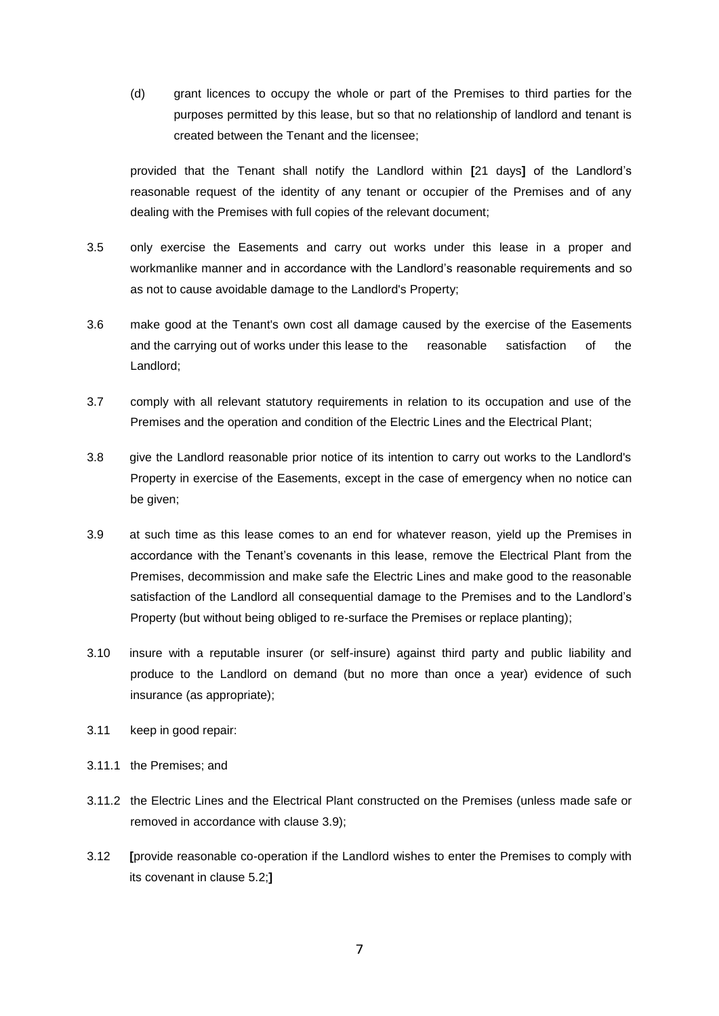(d) grant licences to occupy the whole or part of the Premises to third parties for the purposes permitted by this lease, but so that no relationship of landlord and tenant is created between the Tenant and the licensee;

provided that the Tenant shall notify the Landlord within **[**21 days**]** of the Landlord's reasonable request of the identity of any tenant or occupier of the Premises and of any dealing with the Premises with full copies of the relevant document;

- 3.5 only exercise the Easements and carry out works under this lease in a proper and workmanlike manner and in accordance with the Landlord's reasonable requirements and so as not to cause avoidable damage to the Landlord's Property;
- 3.6 make good at the Tenant's own cost all damage caused by the exercise of the Easements and the carrying out of works under this lease to the reasonable satisfaction of the Landlord;
- 3.7 comply with all relevant statutory requirements in relation to its occupation and use of the Premises and the operation and condition of the Electric Lines and the Electrical Plant;
- 3.8 give the Landlord reasonable prior notice of its intention to carry out works to the Landlord's Property in exercise of the Easements, except in the case of emergency when no notice can be given;
- 3.9 at such time as this lease comes to an end for whatever reason, yield up the Premises in accordance with the Tenant's covenants in this lease, remove the Electrical Plant from the Premises, decommission and make safe the Electric Lines and make good to the reasonable satisfaction of the Landlord all consequential damage to the Premises and to the Landlord's Property (but without being obliged to re-surface the Premises or replace planting);
- 3.10 insure with a reputable insurer (or self-insure) against third party and public liability and produce to the Landlord on demand (but no more than once a year) evidence of such insurance (as appropriate);
- 3.11 keep in good repair:
- 3.11.1 the Premises; and
- 3.11.2 the Electric Lines and the Electrical Plant constructed on the Premises (unless made safe or removed in accordance with clause 3.9);
- 3.12 **[**provide reasonable co-operation if the Landlord wishes to enter the Premises to comply with its covenant in clause 5.2;**]**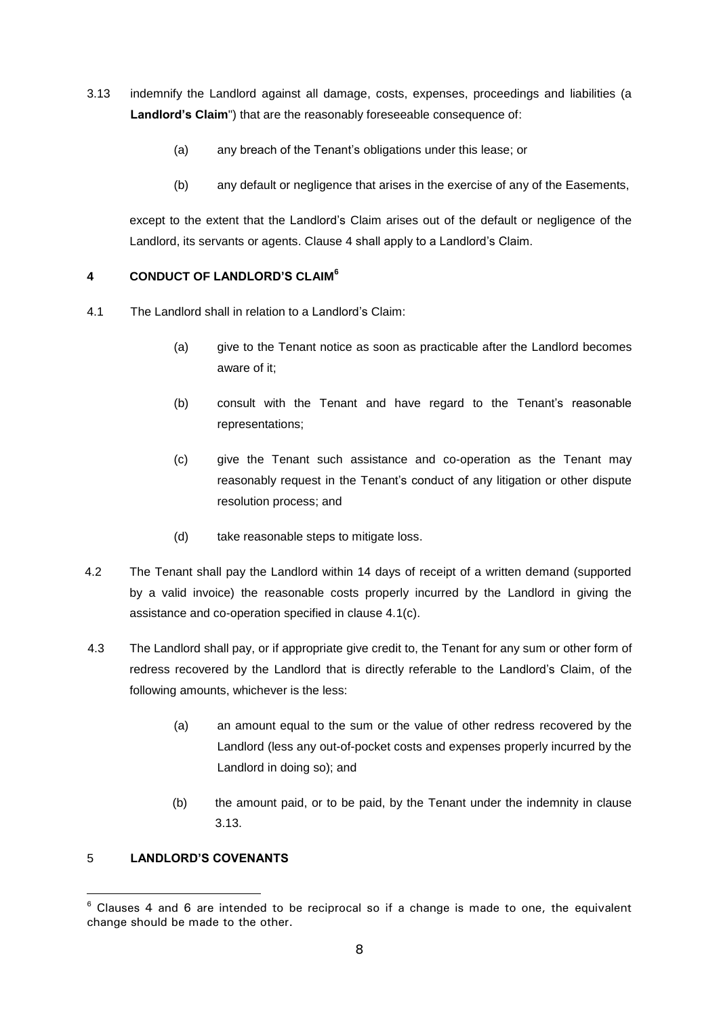- 3.13 indemnify the Landlord against all damage, costs, expenses, proceedings and liabilities (a **Landlord's Claim**") that are the reasonably foreseeable consequence of:
	- (a) any breach of the Tenant's obligations under this lease; or
	- (b) any default or negligence that arises in the exercise of any of the Easements,

except to the extent that the Landlord's Claim arises out of the default or negligence of the Landlord, its servants or agents. Clause 4 shall apply to a Landlord's Claim.

# **4 CONDUCT OF LANDLORD'S CLAIM<sup>6</sup>**

- 4.1 The Landlord shall in relation to a Landlord's Claim:
	- (a) give to the Tenant notice as soon as practicable after the Landlord becomes aware of it;
	- (b) consult with the Tenant and have regard to the Tenant's reasonable representations;
	- (c) give the Tenant such assistance and co-operation as the Tenant may reasonably request in the Tenant's conduct of any litigation or other dispute resolution process; and
	- (d) take reasonable steps to mitigate loss.
- 4.2 The Tenant shall pay the Landlord within 14 days of receipt of a written demand (supported by a valid invoice) the reasonable costs properly incurred by the Landlord in giving the assistance and co-operation specified in clause 4.1(c).
- 4.3 The Landlord shall pay, or if appropriate give credit to, the Tenant for any sum or other form of redress recovered by the Landlord that is directly referable to the Landlord's Claim, of the following amounts, whichever is the less:
	- (a) an amount equal to the sum or the value of other redress recovered by the Landlord (less any out-of-pocket costs and expenses properly incurred by the Landlord in doing so); and
	- (b) the amount paid, or to be paid, by the Tenant under the indemnity in clause 3.13.

# 5 **LANDLORD'S COVENANTS**

<sup>&</sup>lt;sup>6</sup> Clauses 4 and 6 are intended to be reciprocal so if a change is made to one, the equivalent change should be made to the other.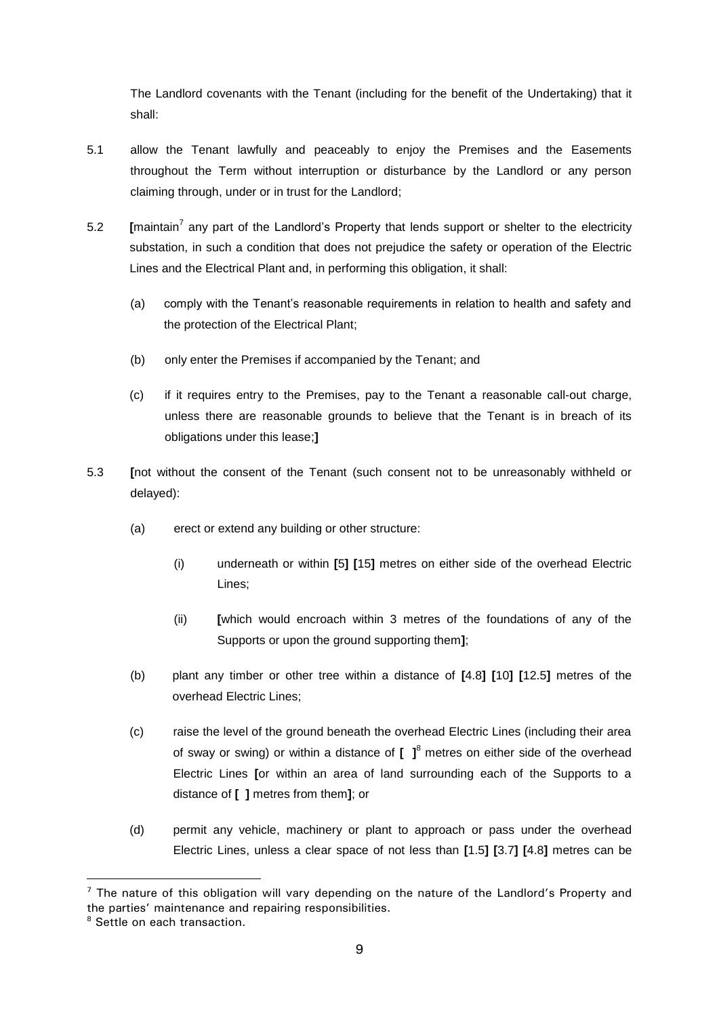The Landlord covenants with the Tenant (including for the benefit of the Undertaking) that it shall:

- 5.1 allow the Tenant lawfully and peaceably to enjoy the Premises and the Easements throughout the Term without interruption or disturbance by the Landlord or any person claiming through, under or in trust for the Landlord;
- 5.2 **[**maintain<sup>7</sup> any part of the Landlord's Property that lends support or shelter to the electricity substation, in such a condition that does not prejudice the safety or operation of the Electric Lines and the Electrical Plant and, in performing this obligation, it shall:
	- (a) comply with the Tenant's reasonable requirements in relation to health and safety and the protection of the Electrical Plant;
	- (b) only enter the Premises if accompanied by the Tenant; and
	- (c) if it requires entry to the Premises, pay to the Tenant a reasonable call-out charge, unless there are reasonable grounds to believe that the Tenant is in breach of its obligations under this lease;**]**
- 5.3 **[**not without the consent of the Tenant (such consent not to be unreasonably withheld or delayed):
	- (a) erect or extend any building or other structure:
		- (i) underneath or within **[**5**] [**15**]** metres on either side of the overhead Electric Lines;
		- (ii) **[**which would encroach within 3 metres of the foundations of any of the Supports or upon the ground supporting them**]**;
	- (b) plant any timber or other tree within a distance of **[**4.8**] [**10**] [**12.5**]** metres of the overhead Electric Lines;
	- (c) raise the level of the ground beneath the overhead Electric Lines (including their area of sway or swing) or within a distance of **[ ]**<sup>8</sup> metres on either side of the overhead Electric Lines **[**or within an area of land surrounding each of the Supports to a distance of **[ ]** metres from them**]**; or
	- (d) permit any vehicle, machinery or plant to approach or pass under the overhead Electric Lines, unless a clear space of not less than **[**1.5**] [**3.7**] [**4.8**]** metres can be

 $<sup>7</sup>$  The nature of this obligation will vary depending on the nature of the Landlord's Property and</sup> the parties' maintenance and repairing responsibilities.

<sup>&</sup>lt;sup>8</sup> Settle on each transaction.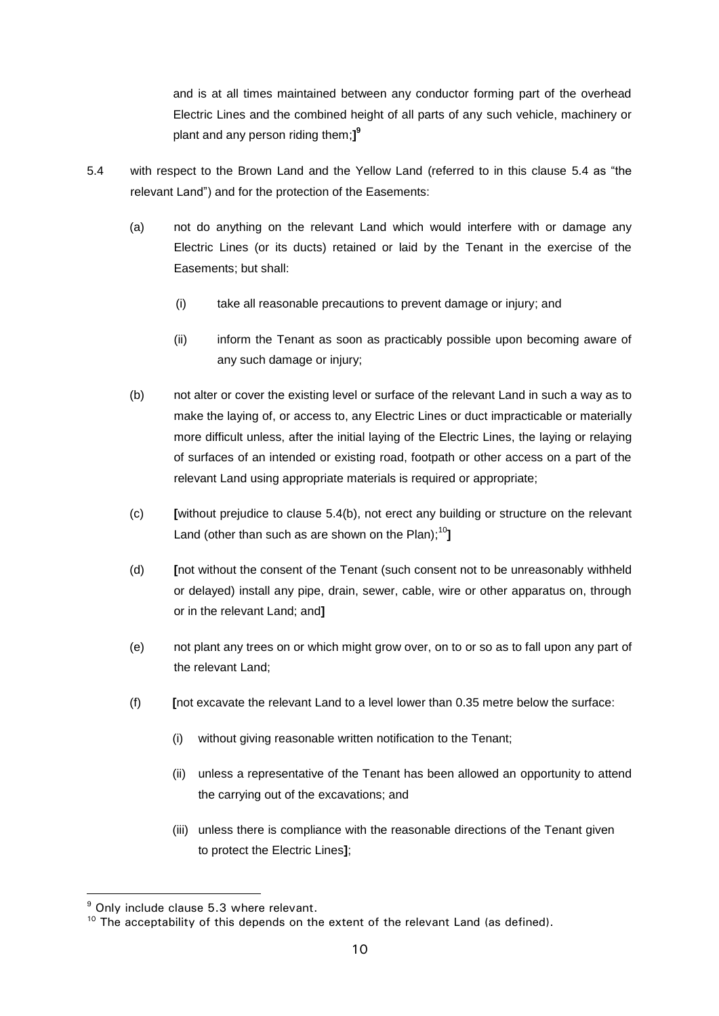and is at all times maintained between any conductor forming part of the overhead Electric Lines and the combined height of all parts of any such vehicle, machinery or plant and any person riding them;**] 9**

- 5.4 with respect to the Brown Land and the Yellow Land (referred to in this clause 5.4 as "the relevant Land") and for the protection of the Easements:
	- (a) not do anything on the relevant Land which would interfere with or damage any Electric Lines (or its ducts) retained or laid by the Tenant in the exercise of the Easements; but shall:
		- (i) take all reasonable precautions to prevent damage or injury; and
		- (ii) inform the Tenant as soon as practicably possible upon becoming aware of any such damage or injury;
	- (b) not alter or cover the existing level or surface of the relevant Land in such a way as to make the laying of, or access to, any Electric Lines or duct impracticable or materially more difficult unless, after the initial laying of the Electric Lines, the laying or relaying of surfaces of an intended or existing road, footpath or other access on a part of the relevant Land using appropriate materials is required or appropriate;
	- (c) **[**without prejudice to clause 5.4(b), not erect any building or structure on the relevant Land (other than such as are shown on the Plan); 10**]**
	- (d) **[**not without the consent of the Tenant (such consent not to be unreasonably withheld or delayed) install any pipe, drain, sewer, cable, wire or other apparatus on, through or in the relevant Land; and**]**
	- (e) not plant any trees on or which might grow over, on to or so as to fall upon any part of the relevant Land;
	- (f) **[**not excavate the relevant Land to a level lower than 0.35 metre below the surface:
		- (i) without giving reasonable written notification to the Tenant;
		- (ii) unless a representative of the Tenant has been allowed an opportunity to attend the carrying out of the excavations; and
		- (iii) unless there is compliance with the reasonable directions of the Tenant given to protect the Electric Lines**]**;

<sup>9</sup> Only include clause 5.3 where relevant.

<sup>&</sup>lt;sup>10</sup> The acceptability of this depends on the extent of the relevant Land (as defined).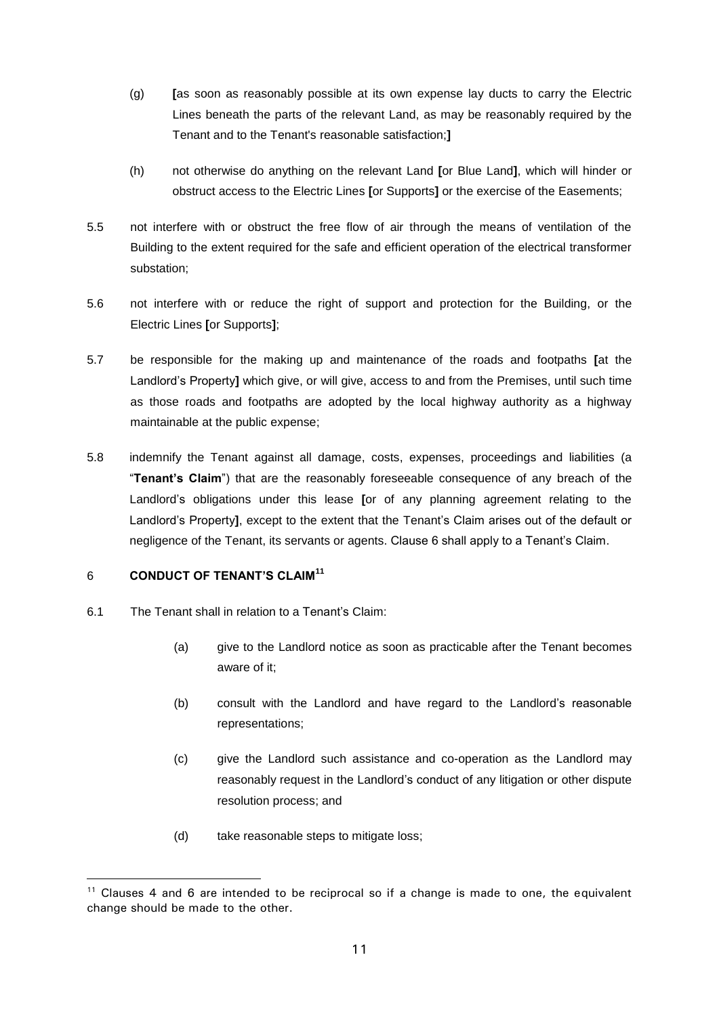- (g) **[**as soon as reasonably possible at its own expense lay ducts to carry the Electric Lines beneath the parts of the relevant Land, as may be reasonably required by the Tenant and to the Tenant's reasonable satisfaction;**]**
- (h) not otherwise do anything on the relevant Land **[**or Blue Land**]**, which will hinder or obstruct access to the Electric Lines **[**or Supports**]** or the exercise of the Easements;
- 5.5 not interfere with or obstruct the free flow of air through the means of ventilation of the Building to the extent required for the safe and efficient operation of the electrical transformer substation;
- 5.6 not interfere with or reduce the right of support and protection for the Building, or the Electric Lines **[**or Supports**]**;
- 5.7 be responsible for the making up and maintenance of the roads and footpaths **[**at the Landlord's Property**]** which give, or will give, access to and from the Premises, until such time as those roads and footpaths are adopted by the local highway authority as a highway maintainable at the public expense;
- 5.8 indemnify the Tenant against all damage, costs, expenses, proceedings and liabilities (a "**Tenant's Claim**") that are the reasonably foreseeable consequence of any breach of the Landlord's obligations under this lease **[**or of any planning agreement relating to the Landlord's Property**]**, except to the extent that the Tenant's Claim arises out of the default or negligence of the Tenant, its servants or agents. Clause 6 shall apply to a Tenant's Claim.

#### 6 **CONDUCT OF TENANT'S CLAIM<sup>11</sup>**

- 6.1 The Tenant shall in relation to a Tenant's Claim:
	- (a) give to the Landlord notice as soon as practicable after the Tenant becomes aware of it;
	- (b) consult with the Landlord and have regard to the Landlord's reasonable representations;
	- (c) give the Landlord such assistance and co-operation as the Landlord may reasonably request in the Landlord's conduct of any litigation or other dispute resolution process; and
	- (d) take reasonable steps to mitigate loss;

 $11$  Clauses 4 and 6 are intended to be reciprocal so if a change is made to one, the equivalent change should be made to the other.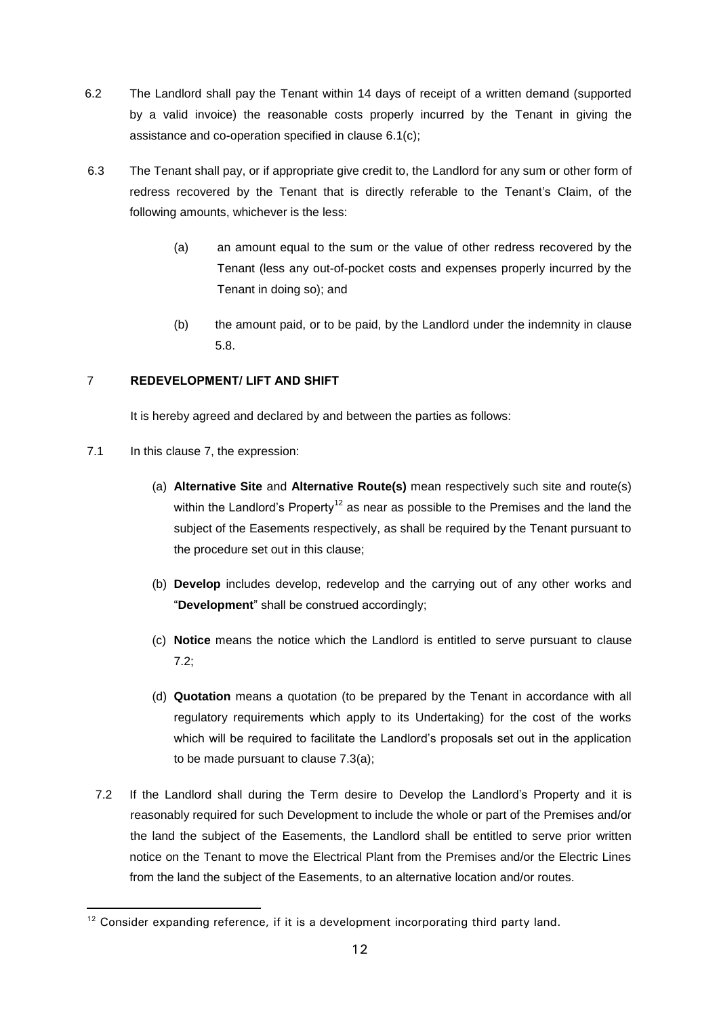- 6.2 The Landlord shall pay the Tenant within 14 days of receipt of a written demand (supported by a valid invoice) the reasonable costs properly incurred by the Tenant in giving the assistance and co-operation specified in clause 6.1(c);
- 6.3 The Tenant shall pay, or if appropriate give credit to, the Landlord for any sum or other form of redress recovered by the Tenant that is directly referable to the Tenant's Claim, of the following amounts, whichever is the less:
	- (a) an amount equal to the sum or the value of other redress recovered by the Tenant (less any out-of-pocket costs and expenses properly incurred by the Tenant in doing so); and
	- (b) the amount paid, or to be paid, by the Landlord under the indemnity in clause 5.8.

# 7 **REDEVELOPMENT/ LIFT AND SHIFT**

It is hereby agreed and declared by and between the parties as follows:

7.1 In this clause 7, the expression:

- (a) **Alternative Site** and **Alternative Route(s)** mean respectively such site and route(s) within the Landlord's Property<sup>12</sup> as near as possible to the Premises and the land the subject of the Easements respectively, as shall be required by the Tenant pursuant to the procedure set out in this clause;
- (b) **Develop** includes develop, redevelop and the carrying out of any other works and "**Development**" shall be construed accordingly;
- (c) **Notice** means the notice which the Landlord is entitled to serve pursuant to clause 7.2;
- (d) **Quotation** means a quotation (to be prepared by the Tenant in accordance with all regulatory requirements which apply to its Undertaking) for the cost of the works which will be required to facilitate the Landlord's proposals set out in the application to be made pursuant to clause 7.3(a);
- 7.2 If the Landlord shall during the Term desire to Develop the Landlord's Property and it is reasonably required for such Development to include the whole or part of the Premises and/or the land the subject of the Easements, the Landlord shall be entitled to serve prior written notice on the Tenant to move the Electrical Plant from the Premises and/or the Electric Lines from the land the subject of the Easements, to an alternative location and/or routes.

 $12$  Consider expanding reference, if it is a development incorporating third party land.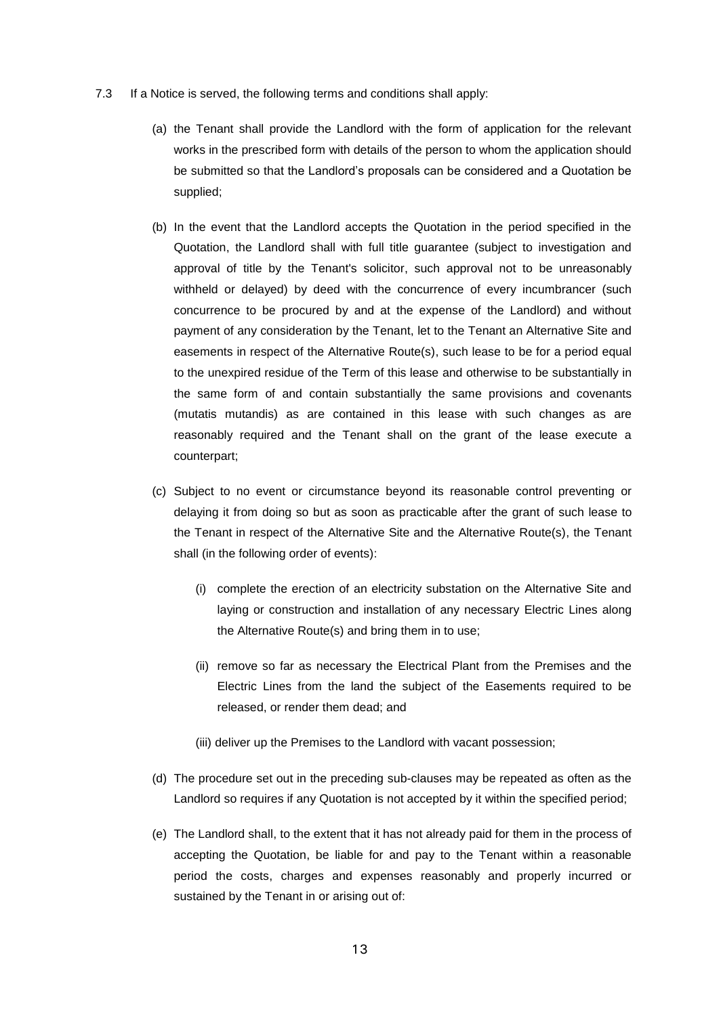- 7.3 If a Notice is served, the following terms and conditions shall apply:
	- (a) the Tenant shall provide the Landlord with the form of application for the relevant works in the prescribed form with details of the person to whom the application should be submitted so that the Landlord's proposals can be considered and a Quotation be supplied;
	- (b) In the event that the Landlord accepts the Quotation in the period specified in the Quotation, the Landlord shall with full title guarantee (subject to investigation and approval of title by the Tenant's solicitor, such approval not to be unreasonably withheld or delayed) by deed with the concurrence of every incumbrancer (such concurrence to be procured by and at the expense of the Landlord) and without payment of any consideration by the Tenant, let to the Tenant an Alternative Site and easements in respect of the Alternative Route(s), such lease to be for a period equal to the unexpired residue of the Term of this lease and otherwise to be substantially in the same form of and contain substantially the same provisions and covenants (mutatis mutandis) as are contained in this lease with such changes as are reasonably required and the Tenant shall on the grant of the lease execute a counterpart;
	- (c) Subject to no event or circumstance beyond its reasonable control preventing or delaying it from doing so but as soon as practicable after the grant of such lease to the Tenant in respect of the Alternative Site and the Alternative Route(s), the Tenant shall (in the following order of events):
		- (i) complete the erection of an electricity substation on the Alternative Site and laying or construction and installation of any necessary Electric Lines along the Alternative Route(s) and bring them in to use;
		- (ii) remove so far as necessary the Electrical Plant from the Premises and the Electric Lines from the land the subject of the Easements required to be released, or render them dead; and
		- (iii) deliver up the Premises to the Landlord with vacant possession;
	- (d) The procedure set out in the preceding sub-clauses may be repeated as often as the Landlord so requires if any Quotation is not accepted by it within the specified period;
	- (e) The Landlord shall, to the extent that it has not already paid for them in the process of accepting the Quotation, be liable for and pay to the Tenant within a reasonable period the costs, charges and expenses reasonably and properly incurred or sustained by the Tenant in or arising out of: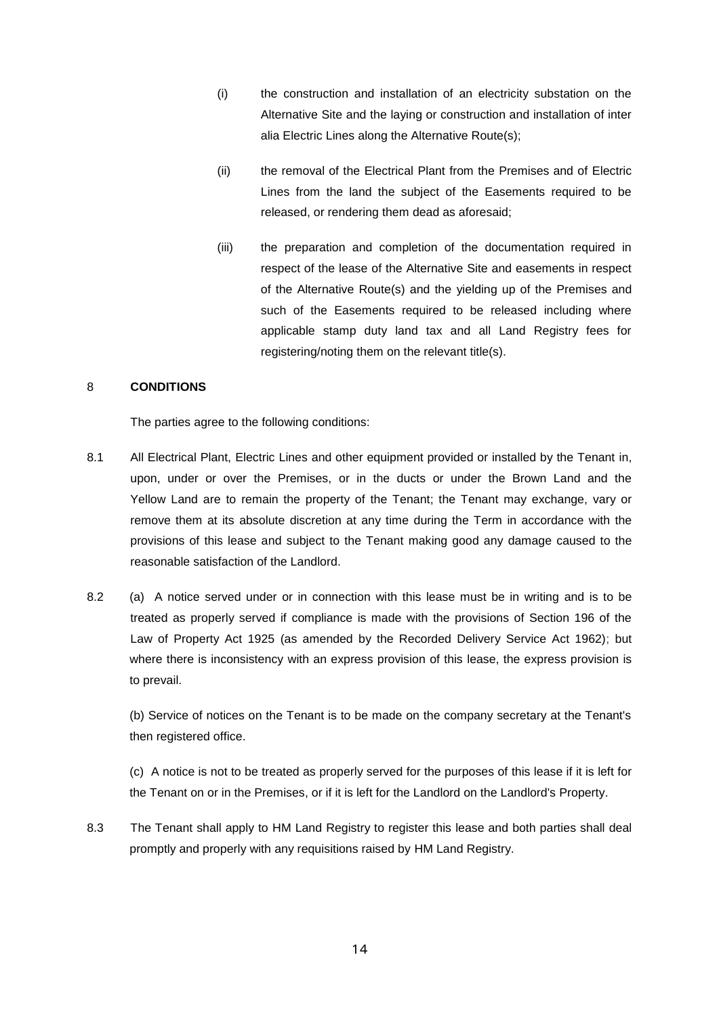- (i) the construction and installation of an electricity substation on the Alternative Site and the laying or construction and installation of inter alia Electric Lines along the Alternative Route(s);
- (ii) the removal of the Electrical Plant from the Premises and of Electric Lines from the land the subject of the Easements required to be released, or rendering them dead as aforesaid;
- (iii) the preparation and completion of the documentation required in respect of the lease of the Alternative Site and easements in respect of the Alternative Route(s) and the yielding up of the Premises and such of the Easements required to be released including where applicable stamp duty land tax and all Land Registry fees for registering/noting them on the relevant title(s).

#### 8 **CONDITIONS**

The parties agree to the following conditions:

- 8.1 All Electrical Plant, Electric Lines and other equipment provided or installed by the Tenant in, upon, under or over the Premises, or in the ducts or under the Brown Land and the Yellow Land are to remain the property of the Tenant; the Tenant may exchange, vary or remove them at its absolute discretion at any time during the Term in accordance with the provisions of this lease and subject to the Tenant making good any damage caused to the reasonable satisfaction of the Landlord.
- 8.2 (a) A notice served under or in connection with this lease must be in writing and is to be treated as properly served if compliance is made with the provisions of Section 196 of the Law of Property Act 1925 (as amended by the Recorded Delivery Service Act 1962); but where there is inconsistency with an express provision of this lease, the express provision is to prevail.

(b) Service of notices on the Tenant is to be made on the company secretary at the Tenant's then registered office.

(c) A notice is not to be treated as properly served for the purposes of this lease if it is left for the Tenant on or in the Premises, or if it is left for the Landlord on the Landlord's Property.

8.3 The Tenant shall apply to HM Land Registry to register this lease and both parties shall deal promptly and properly with any requisitions raised by HM Land Registry.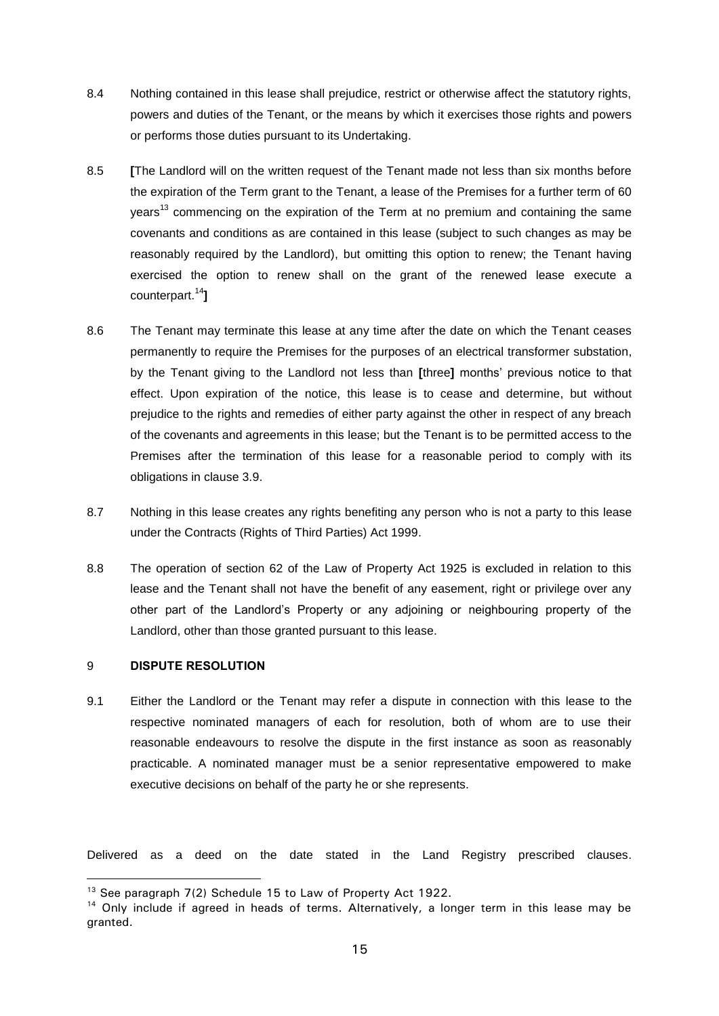- 8.4 Nothing contained in this lease shall prejudice, restrict or otherwise affect the statutory rights, powers and duties of the Tenant, or the means by which it exercises those rights and powers or performs those duties pursuant to its Undertaking.
- 8.5 **[**The Landlord will on the written request of the Tenant made not less than six months before the expiration of the Term grant to the Tenant, a lease of the Premises for a further term of 60 years<sup>13</sup> commencing on the expiration of the Term at no premium and containing the same covenants and conditions as are contained in this lease (subject to such changes as may be reasonably required by the Landlord), but omitting this option to renew; the Tenant having exercised the option to renew shall on the grant of the renewed lease execute a counterpart. 14**]**
- 8.6 The Tenant may terminate this lease at any time after the date on which the Tenant ceases permanently to require the Premises for the purposes of an electrical transformer substation, by the Tenant giving to the Landlord not less than **[**three**]** months' previous notice to that effect. Upon expiration of the notice, this lease is to cease and determine, but without prejudice to the rights and remedies of either party against the other in respect of any breach of the covenants and agreements in this lease; but the Tenant is to be permitted access to the Premises after the termination of this lease for a reasonable period to comply with its obligations in clause 3.9.
- 8.7 Nothing in this lease creates any rights benefiting any person who is not a party to this lease under the Contracts (Rights of Third Parties) Act 1999.
- 8.8 The operation of section 62 of the Law of Property Act 1925 is excluded in relation to this lease and the Tenant shall not have the benefit of any easement, right or privilege over any other part of the Landlord's Property or any adjoining or neighbouring property of the Landlord, other than those granted pursuant to this lease.

## 9 **DISPUTE RESOLUTION**

 $\overline{a}$ 

9.1 Either the Landlord or the Tenant may refer a dispute in connection with this lease to the respective nominated managers of each for resolution, both of whom are to use their reasonable endeavours to resolve the dispute in the first instance as soon as reasonably practicable. A nominated manager must be a senior representative empowered to make executive decisions on behalf of the party he or she represents.

Delivered as a deed on the date stated in the Land Registry prescribed clauses.

<sup>&</sup>lt;sup>13</sup> See paragraph 7(2) Schedule 15 to Law of Property Act 1922.

<sup>&</sup>lt;sup>14</sup> Only include if agreed in heads of terms. Alternatively, a longer term in this lease may be granted.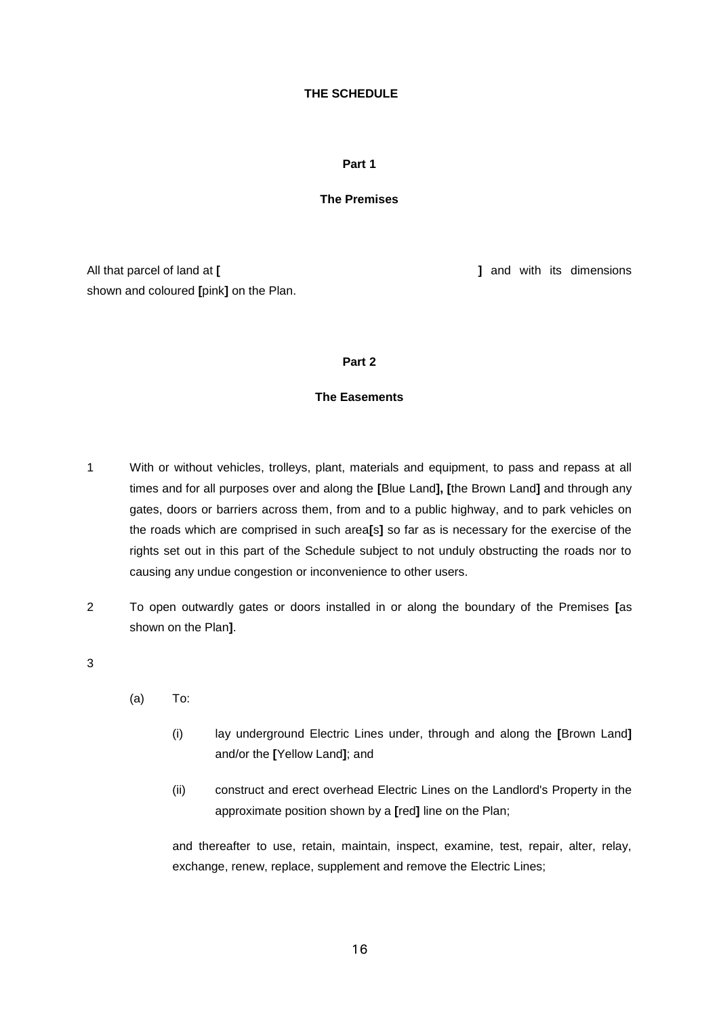#### **THE SCHEDULE**

#### **Part 1**

#### **The Premises**

All that parcel of land at **[ ]** and with its dimensions shown and coloured **[**pink**]** on the Plan.

#### **Part 2**

#### **The Easements**

- 1 With or without vehicles, trolleys, plant, materials and equipment, to pass and repass at all times and for all purposes over and along the **[**Blue Land**], [**the Brown Land**]** and through any gates, doors or barriers across them, from and to a public highway, and to park vehicles on the roads which are comprised in such area**[**s**]** so far as is necessary for the exercise of the rights set out in this part of the Schedule subject to not unduly obstructing the roads nor to causing any undue congestion or inconvenience to other users.
- 2 To open outwardly gates or doors installed in or along the boundary of the Premises **[**as shown on the Plan**]**.

3

- (a) To:
	- (i) lay underground Electric Lines under, through and along the **[**Brown Land**]** and/or the **[**Yellow Land**]**; and
	- (ii) construct and erect overhead Electric Lines on the Landlord's Property in the approximate position shown by a **[**red**]** line on the Plan;

and thereafter to use, retain, maintain, inspect, examine, test, repair, alter, relay, exchange, renew, replace, supplement and remove the Electric Lines;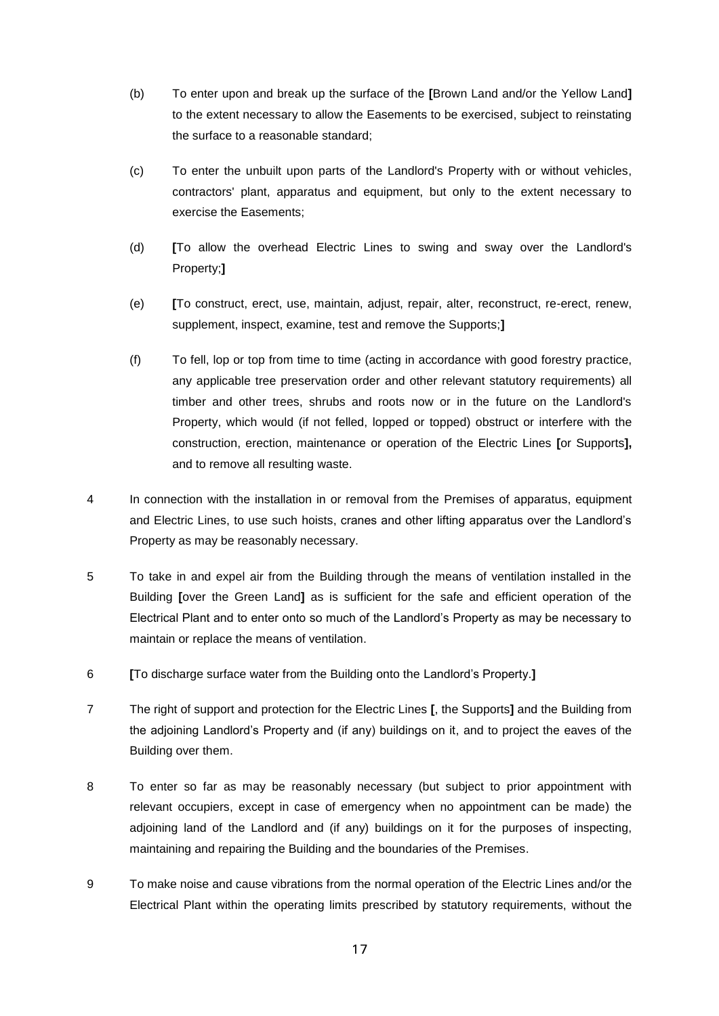- (b) To enter upon and break up the surface of the **[**Brown Land and/or the Yellow Land**]** to the extent necessary to allow the Easements to be exercised, subject to reinstating the surface to a reasonable standard;
- (c) To enter the unbuilt upon parts of the Landlord's Property with or without vehicles, contractors' plant, apparatus and equipment, but only to the extent necessary to exercise the Easements;
- (d) **[**To allow the overhead Electric Lines to swing and sway over the Landlord's Property;**]**
- (e) **[**To construct, erect, use, maintain, adjust, repair, alter, reconstruct, re-erect, renew, supplement, inspect, examine, test and remove the Supports;**]**
- (f) To fell, lop or top from time to time (acting in accordance with good forestry practice, any applicable tree preservation order and other relevant statutory requirements) all timber and other trees, shrubs and roots now or in the future on the Landlord's Property, which would (if not felled, lopped or topped) obstruct or interfere with the construction, erection, maintenance or operation of the Electric Lines **[**or Supports**],** and to remove all resulting waste.
- 4 In connection with the installation in or removal from the Premises of apparatus, equipment and Electric Lines, to use such hoists, cranes and other lifting apparatus over the Landlord's Property as may be reasonably necessary.
- 5 To take in and expel air from the Building through the means of ventilation installed in the Building **[**over the Green Land**]** as is sufficient for the safe and efficient operation of the Electrical Plant and to enter onto so much of the Landlord's Property as may be necessary to maintain or replace the means of ventilation.
- 6 **[**To discharge surface water from the Building onto the Landlord's Property.**]**
- 7 The right of support and protection for the Electric Lines **[**, the Supports**]** and the Building from the adjoining Landlord's Property and (if any) buildings on it, and to project the eaves of the Building over them.
- 8 To enter so far as may be reasonably necessary (but subject to prior appointment with relevant occupiers, except in case of emergency when no appointment can be made) the adjoining land of the Landlord and (if any) buildings on it for the purposes of inspecting, maintaining and repairing the Building and the boundaries of the Premises.
- 9 To make noise and cause vibrations from the normal operation of the Electric Lines and/or the Electrical Plant within the operating limits prescribed by statutory requirements, without the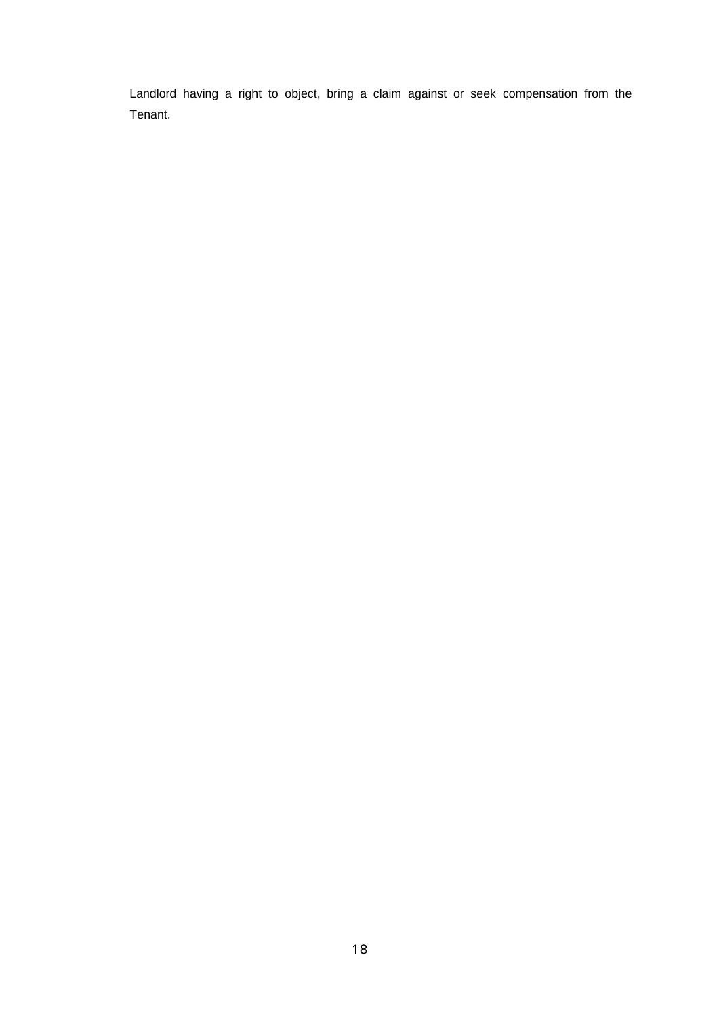Landlord having a right to object, bring a claim against or seek compensation from the Tenant.